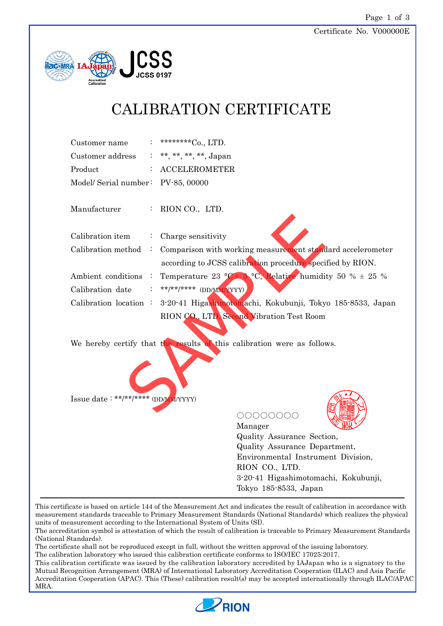

# CALIBRATION CERTIFICATE

| Customer name                      | : *********Co., LTD.    |
|------------------------------------|-------------------------|
| Customer address                   | : **, **, **, **, Japan |
| Product                            | $:$ ACCELEROMETER       |
| Model/ Serial number: PV-85, 00000 |                         |

Manufacturer : RION CO., LTD.

| Calibration item                    | $\ddot{\cdot}$ | Charge sensitivity                                                      |
|-------------------------------------|----------------|-------------------------------------------------------------------------|
| Calibration method                  | $\ddot{\cdot}$ | Comparison with working measurement standard accelerometer              |
|                                     |                | according to JCSS calibration procedure specified by RION.              |
| Ambient conditions                  |                | Temperature 23 °C+ 5 °C, Relative humidity 50 % $\pm$ 25 %              |
| Calibration date                    |                | **/**/***** (DD/MM/YYYY)                                                |
| Calibration location $\cdot$        |                | 3-20-41 Higashimotomachi, Kokubunji, Tokyo 185-8533, Japan              |
|                                     |                | RION CO., LTD. Second Vibration Test Room                               |
|                                     |                | We hereby certify that the results of this calibration were as follows. |
| Issue date: **/**/**** (DD/MM/YYYY) |                |                                                                         |



○○○○○○○○



Manager Quality Assurance Section, Quality Assurance Department, Environmental Instrument Division, RION CO., LTD. 3-20-41 Higashimotomachi, Kokubunji, Tokyo 185-8533, Japan

This certificate is based on article 144 of the Measurement Act and indicates the result of calibration in accordance with measurement standards traceable to Primary Measurement Standards (National Standards) which realizes the physical units of measurement according to the International System of Units (SI).

The accreditation symbol is attestation of which the result of calibration is traceable to Primary Measurement Standards (National Standards).

The certificate shall not be reproduced except in full, without the written approval of the issuing laboratory.

The calibration laboratory who issued this calibration certificate conforms to ISO/IEC 17025:2017.

This calibration certificate was issued by the calibration laboratory accredited by IAJapan who is a signatory to the Mutual Recognition Arrangement (MRA) of International Laboratory Accreditation Cooperation (ILAC) and Asia Pacific Accreditation Cooperation (APAC). This (These) calibration result(s) may be accepted internationally through ILAC/APAC MRA.

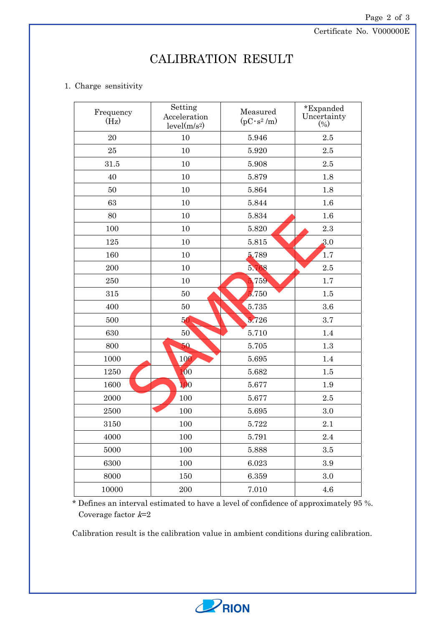Certificate No. V000000E

# CALIBRATION RESULT

## 1. Charge sensitivity

| Frequency<br>(Hz) | Setting<br>Acceleration<br>level(m/s <sup>2</sup> ) | Measured<br>$(pC \cdot s^2/m)$ | *Expanded<br>Uncertainty<br>$(\%)$ |
|-------------------|-----------------------------------------------------|--------------------------------|------------------------------------|
| 20                | 10                                                  | 5.946                          | 2.5                                |
| $25\,$            | 10                                                  | 5.920                          | 2.5                                |
| 31.5              | 10                                                  | 5.908                          | 2.5                                |
| 40                | 10                                                  | 5.879                          | 1.8                                |
| 50                | 10                                                  | 5.864                          | 1.8                                |
| 63                | 10                                                  | 5.844                          | 1.6                                |
| 80                | 10                                                  | 5.834                          | 1.6                                |
| 100               | 10                                                  | 5.820                          | $2.3\,$                            |
| 125               | 10                                                  | 5.815                          | 3.0                                |
| 160               | 10                                                  | 5.789                          | 1.7                                |
| 200               | 10                                                  | 5.768                          | $2.5\,$                            |
| 250               | 10                                                  | 759                            | 1.7                                |
| 315               | 50                                                  | .750                           | 1.5                                |
| 400               | 50                                                  | 5.735                          | 3.6                                |
| 500               | 50                                                  | .726                           | 3.7                                |
| 630               | 50                                                  | 5.710                          | $1.4\,$                            |
| 800               | 50                                                  | 5.705                          | 1.3                                |
| 1000              | 100                                                 | 5.695                          | 1.4                                |
| 1250              | $\overline{100}$                                    | 5.682                          | 1.5                                |
| 1600              | 100                                                 | 5.677                          | 1.9                                |
| 2000              | 100                                                 | 5.677                          | 2.5                                |
| 2500              | 100                                                 | 5.695                          | 3.0                                |
| 3150              | 100                                                 | 5.722                          | 2.1                                |
| 4000              | 100                                                 | 5.791                          | 2.4                                |
| 5000              | 100                                                 | 5.888                          | $3.5\,$                            |
| 6300              | 100                                                 | 6.023                          | 3.9                                |
| 8000              | 150                                                 | 6.359                          | $3.0\,$                            |
| 10000             | 200                                                 | 7.010                          | $4.6\,$                            |

\* Defines an interval estimated to have a level of confidence of approximately 95 %. Coverage factor  $k=2$ 

Calibration result is the calibration value in ambient conditions during calibration.